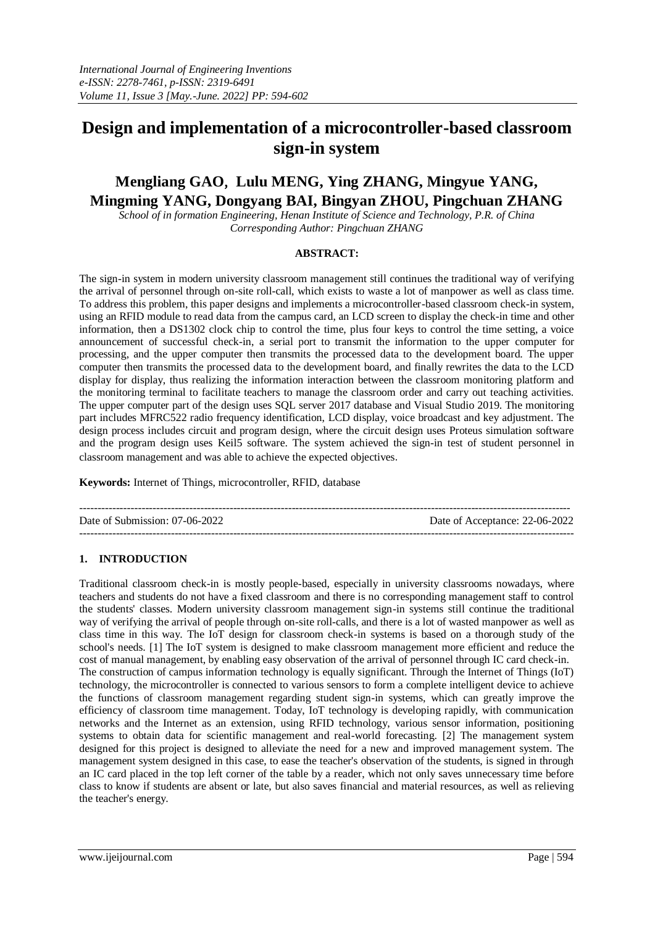# **Design and implementation of a microcontroller-based classroom sign-in system**

## **Mengliang GAO**, **Lulu MENG, Ying ZHANG, Mingyue YANG, Mingming YANG, Dongyang BAI, Bingyan ZHOU, Pingchuan ZHANG**

*School of in formation Engineering, Henan Institute of Science and Technology, P.R. of China Corresponding Author: Pingchuan ZHANG*

#### **ABSTRACT:**

The sign-in system in modern university classroom management still continues the traditional way of verifying the arrival of personnel through on-site roll-call, which exists to waste a lot of manpower as well as class time. To address this problem, this paper designs and implements a microcontroller-based classroom check-in system, using an RFID module to read data from the campus card, an LCD screen to display the check-in time and other information, then a DS1302 clock chip to control the time, plus four keys to control the time setting, a voice announcement of successful check-in, a serial port to transmit the information to the upper computer for processing, and the upper computer then transmits the processed data to the development board. The upper computer then transmits the processed data to the development board, and finally rewrites the data to the LCD display for display, thus realizing the information interaction between the classroom monitoring platform and the monitoring terminal to facilitate teachers to manage the classroom order and carry out teaching activities. The upper computer part of the design uses SQL server 2017 database and Visual Studio 2019. The monitoring part includes MFRC522 radio frequency identification, LCD display, voice broadcast and key adjustment. The design process includes circuit and program design, where the circuit design uses Proteus simulation software and the program design uses Keil5 software. The system achieved the sign-in test of student personnel in classroom management and was able to achieve the expected objectives.

**Keywords:** Internet of Things, microcontroller, RFID, database

-------------------------------------------------------------------------------------------------------------------------------------- Date of Submission: 07-06-2022 Date of Acceptance: 22-06-2022 ---------------------------------------------------------------------------------------------------------------------------------------

## **1. INTRODUCTION**

Traditional classroom check-in is mostly people-based, especially in university classrooms nowadays, where teachers and students do not have a fixed classroom and there is no corresponding management staff to control the students' classes. Modern university classroom management sign-in systems still continue the traditional way of verifying the arrival of people through on-site roll-calls, and there is a lot of wasted manpower as well as class time in this way. The IoT design for classroom check-in systems is based on a thorough study of the school's needs. [1] The IoT system is designed to make classroom management more efficient and reduce the cost of manual management, by enabling easy observation of the arrival of personnel through IC card check-in. The construction of campus information technology is equally significant. Through the Internet of Things (IoT) technology, the microcontroller is connected to various sensors to form a complete intelligent device to achieve the functions of classroom management regarding student sign-in systems, which can greatly improve the efficiency of classroom time management. Today, IoT technology is developing rapidly, with communication networks and the Internet as an extension, using RFID technology, various sensor information, positioning systems to obtain data for scientific management and real-world forecasting. [2] The management system designed for this project is designed to alleviate the need for a new and improved management system. The management system designed in this case, to ease the teacher's observation of the students, is signed in through an IC card placed in the top left corner of the table by a reader, which not only saves unnecessary time before class to know if students are absent or late, but also saves financial and material resources, as well as relieving the teacher's energy.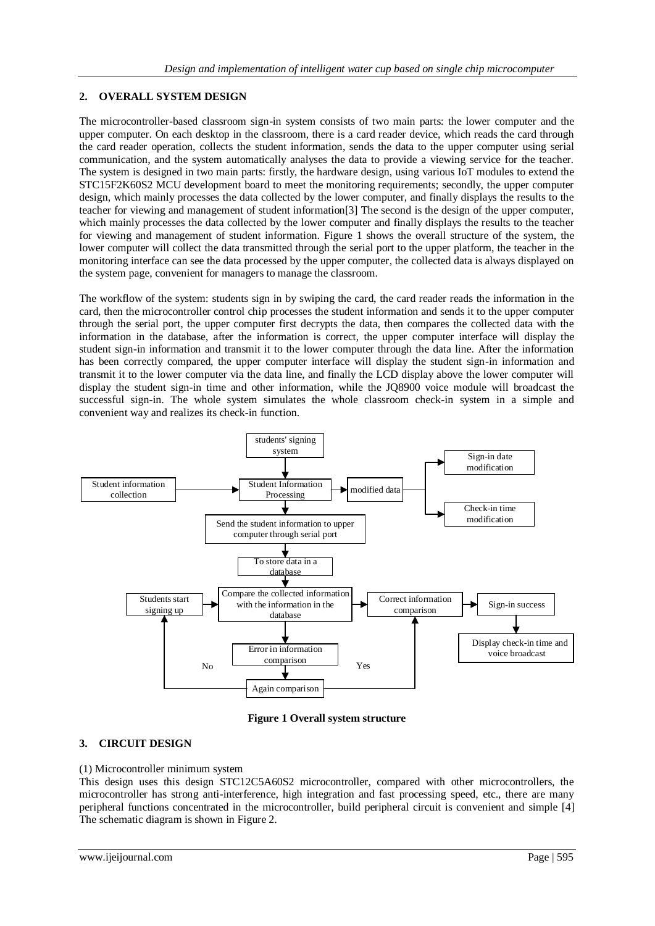## **2. OVERALL SYSTEM DESIGN**

The microcontroller-based classroom sign-in system consists of two main parts: the lower computer and the upper computer. On each desktop in the classroom, there is a card reader device, which reads the card through the card reader operation, collects the student information, sends the data to the upper computer using serial communication, and the system automatically analyses the data to provide a viewing service for the teacher. The system is designed in two main parts: firstly, the hardware design, using various IoT modules to extend the STC15F2K60S2 MCU development board to meet the monitoring requirements; secondly, the upper computer design, which mainly processes the data collected by the lower computer, and finally displays the results to the teacher for viewing and management of student information[3] The second is the design of the upper computer, which mainly processes the data collected by the lower computer and finally displays the results to the teacher for viewing and management of student information. Figure 1 shows the overall structure of the system, the lower computer will collect the data transmitted through the serial port to the upper platform, the teacher in the monitoring interface can see the data processed by the upper computer, the collected data is always displayed on the system page, convenient for managers to manage the classroom.

The workflow of the system: students sign in by swiping the card, the card reader reads the information in the card, then the microcontroller control chip processes the student information and sends it to the upper computer through the serial port, the upper computer first decrypts the data, then compares the collected data with the information in the database, after the information is correct, the upper computer interface will display the student sign-in information and transmit it to the lower computer through the data line. After the information has been correctly compared, the upper computer interface will display the student sign-in information and transmit it to the lower computer via the data line, and finally the LCD display above the lower computer will display the student sign-in time and other information, while the JQ8900 voice module will broadcast the successful sign-in. The whole system simulates the whole classroom check-in system in a simple and convenient way and realizes its check-in function.



**Figure 1 Overall system structure**

## **3. CIRCUIT DESIGN**

## (1) Microcontroller minimum system

This design uses this design STC12C5A60S2 microcontroller, compared with other microcontrollers, the microcontroller has strong anti-interference, high integration and fast processing speed, etc., there are many peripheral functions concentrated in the microcontroller, build peripheral circuit is convenient and simple [4] The schematic diagram is shown in Figure 2.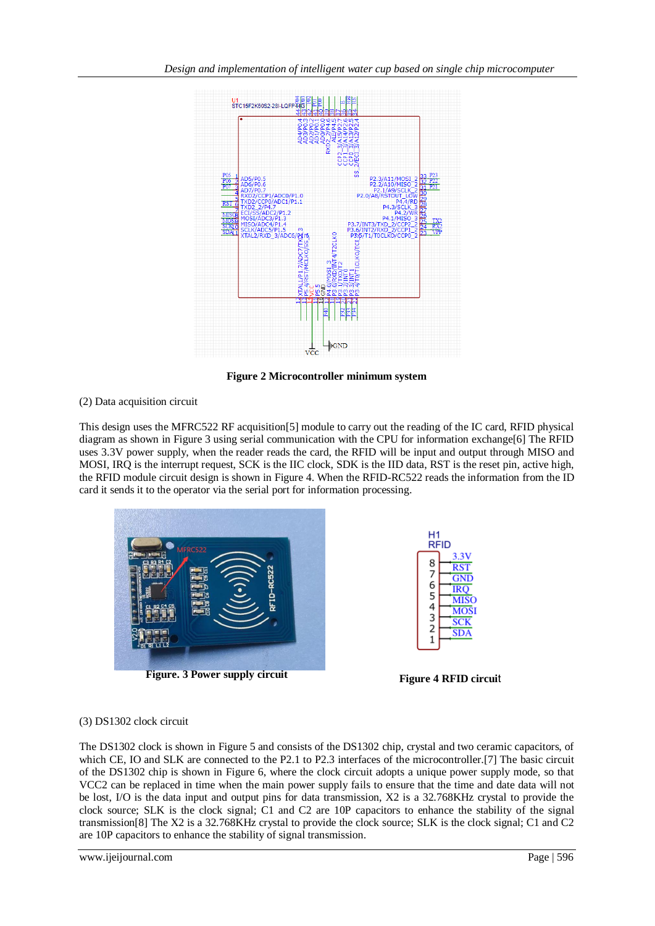

**Figure 2 Microcontroller minimum system**

## (2) Data acquisition circuit

This design uses the MFRC522 RF acquisition[5] module to carry out the reading of the IC card, RFID physical diagram as shown in Figure 3 using serial communication with the CPU for information exchange[6] The RFID uses 3.3V power supply, when the reader reads the card, the RFID will be input and output through MISO and MOSI, IRQ is the interrupt request, SCK is the IIC clock, SDK is the IID data, RST is the reset pin, active high, the RFID module circuit design is shown in Figure 4. When the RFID-RC522 reads the information from the ID card it sends it to the operator via the serial port for information processing.



**Figure. 3 Power supply circuit Figure 4 RFID circui**t



## (3) DS1302 clock circuit

The DS1302 clock is shown in Figure 5 and consists of the DS1302 chip, crystal and two ceramic capacitors, of which CE, IO and SLK are connected to the P2.1 to P2.3 interfaces of the microcontroller.[7] The basic circuit of the DS1302 chip is shown in Figure 6, where the clock circuit adopts a unique power supply mode, so that VCC2 can be replaced in time when the main power supply fails to ensure that the time and date data will not be lost, I/O is the data input and output pins for data transmission, X2 is a 32.768KHz crystal to provide the clock source; SLK is the clock signal; C1 and C2 are 10P capacitors to enhance the stability of the signal transmission[8] The X2 is a 32.768KHz crystal to provide the clock source; SLK is the clock signal; C1 and C2 are 10P capacitors to enhance the stability of signal transmission.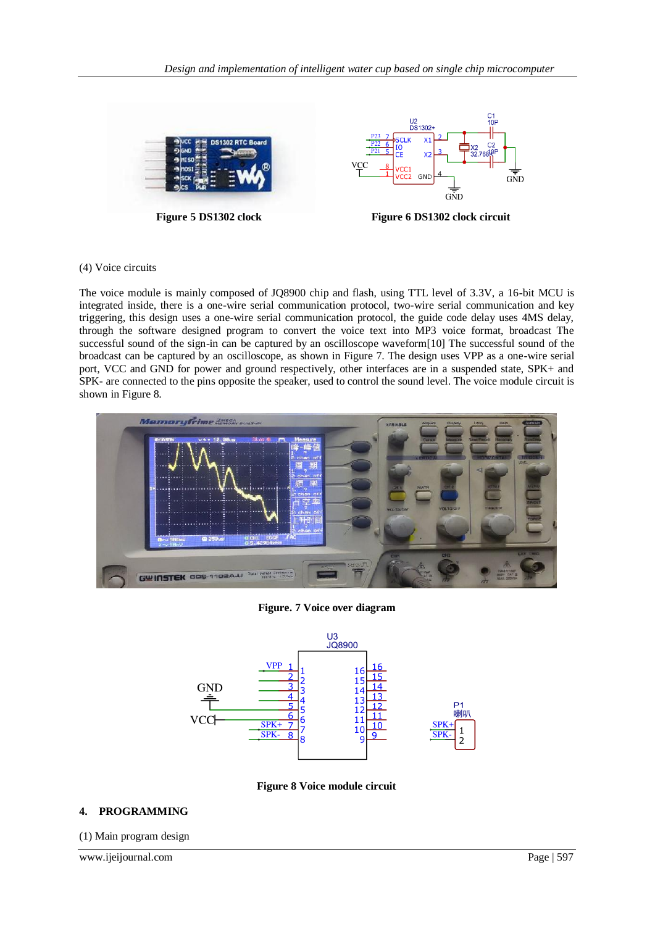



## (4) Voice circuits

The voice module is mainly composed of JQ8900 chip and flash, using TTL level of 3.3V, a 16-bit MCU is integrated inside, there is a one-wire serial communication protocol, two-wire serial communication and key triggering, this design uses a one-wire serial communication protocol, the guide code delay uses 4MS delay, through the software designed program to convert the voice text into MP3 voice format, broadcast The successful sound of the sign-in can be captured by an oscilloscope waveform[10] The successful sound of the broadcast can be captured by an oscilloscope, as shown in Figure 7. The design uses VPP as a one-wire serial port, VCC and GND for power and ground respectively, other interfaces are in a suspended state, SPK+ and SPK- are connected to the pins opposite the speaker, used to control the sound level. The voice module circuit is shown in Figure 8.



**Figure. 7 Voice over diagram**



**Figure 8 Voice module circuit**

## **4. PROGRAMMING**

(1) Main program design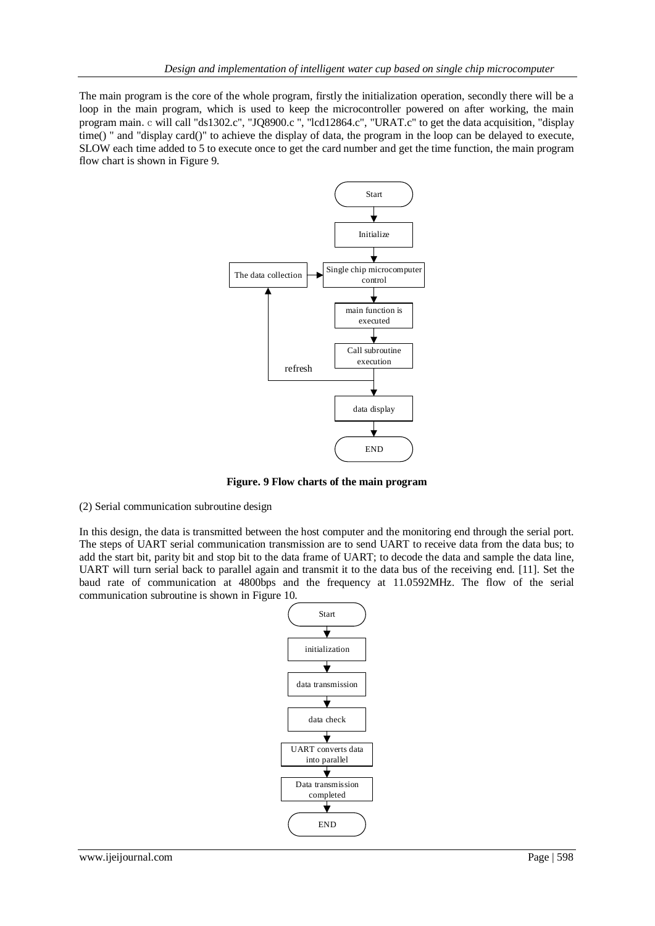The main program is the core of the whole program, firstly the initialization operation, secondly there will be a loop in the main program, which is used to keep the microcontroller powered on after working, the main program main.c will call "ds1302.c", "JQ8900.c ", "lcd12864.c", "URAT.c" to get the data acquisition, "display time() " and "display card()" to achieve the display of data, the program in the loop can be delayed to execute, SLOW each time added to 5 to execute once to get the card number and get the time function, the main program flow chart is shown in Figure 9.



**Figure. 9 Flow charts of the main program**

(2) Serial communication subroutine design

In this design, the data is transmitted between the host computer and the monitoring end through the serial port. The steps of UART serial communication transmission are to send UART to receive data from the data bus; to add the start bit, parity bit and stop bit to the data frame of UART; to decode the data and sample the data line, UART will turn serial back to parallel again and transmit it to the data bus of the receiving end. [11]. Set the baud rate of communication at 4800bps and the frequency at 11.0592MHz. The flow of the serial communication subroutine is shown in Figure 10.

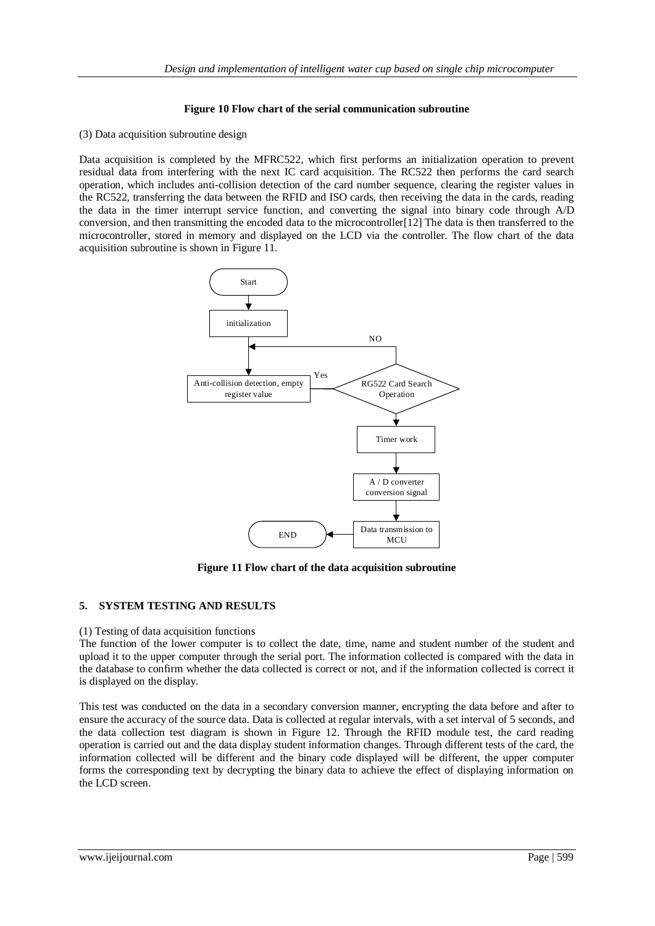## **Figure 10 Flow chart of the serial communication subroutine**

#### (3) Data acquisition subroutine design

Data acquisition is completed by the MFRC522, which first performs an initialization operation to prevent residual data from interfering with the next IC card acquisition. The RC522 then performs the card search operation, which includes anti-collision detection of the card number sequence, clearing the register values in the RC522, transferring the data between the RFID and ISO cards, then receiving the data in the cards, reading the data in the timer interrupt service function, and converting the signal into binary code through A/D conversion, and then transmitting the encoded data to the microcontroller[12] The data is then transferred to the microcontroller, stored in memory and displayed on the LCD via the controller. The flow chart of the data acquisition subroutine is shown in Figure 11.



**Figure 11 Flow chart of the data acquisition subroutine**

## **5. SYSTEM TESTING AND RESULTS**

## (1) Testing of data acquisition functions

The function of the lower computer is to collect the date, time, name and student number of the student and upload it to the upper computer through the serial port. The information collected is compared with the data in the database to confirm whether the data collected is correct or not, and if the information collected is correct it is displayed on the display.

This test was conducted on the data in a secondary conversion manner, encrypting the data before and after to ensure the accuracy of the source data. Data is collected at regular intervals, with a set interval of 5 seconds, and the data collection test diagram is shown in Figure 12. Through the RFID module test, the card reading operation is carried out and the data display student information changes. Through different tests of the card, the information collected will be different and the binary code displayed will be different, the upper computer forms the corresponding text by decrypting the binary data to achieve the effect of displaying information on the LCD screen.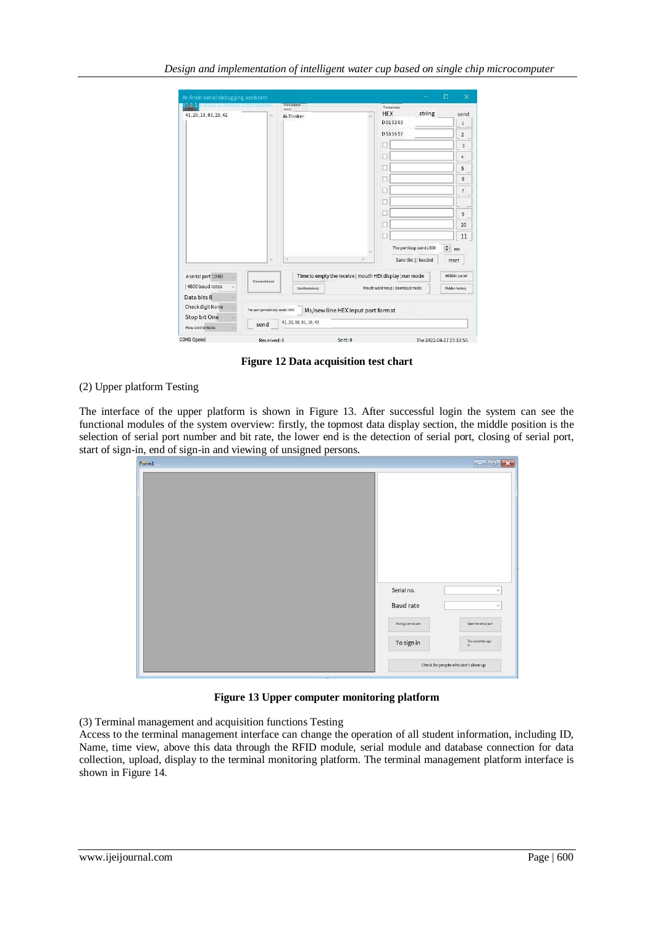|                                             | Ar Anxin serial debugging assistant |                                                       |  |                                                          | $\Box$<br>$\times$ |
|---------------------------------------------|-------------------------------------|-------------------------------------------------------|--|----------------------------------------------------------|--------------------|
| V1:2.3. Www.sittinker.commeccive            |                                     | Thehistoncal<br>record                                |  | Thetestmore                                              |                    |
| 41, 20, 18, 03, 28, 42                      | r.                                  | Ai-Thinker                                            |  | string<br><b>HEX</b>                                     | send               |
|                                             |                                     |                                                       |  | D 01 02 03                                               | $\,1$              |
|                                             |                                     |                                                       |  | D 55 56 57                                               | $\overline{2}$     |
|                                             |                                     |                                                       |  |                                                          | 3                  |
|                                             |                                     |                                                       |  | Е                                                        | $\overline{4}$     |
|                                             |                                     |                                                       |  |                                                          | 5                  |
|                                             |                                     |                                                       |  |                                                          | 6                  |
|                                             |                                     |                                                       |  |                                                          | $\overline{7}$     |
|                                             |                                     |                                                       |  |                                                          |                    |
|                                             |                                     |                                                       |  |                                                          | 9                  |
|                                             |                                     |                                                       |  |                                                          | 10                 |
|                                             |                                     |                                                       |  |                                                          | 11                 |
|                                             |                                     |                                                       |  |                                                          | $\div$<br>ms       |
|                                             | $\omega$                            | e                                                     |  | Save the     loaded                                      | reset              |
| A serial port COM3                          |                                     |                                                       |  | Time to empty the receive   mouth HEX display   run mode | Hidden panel       |
| Close a serial port<br>4800 baud rates<br>٠ |                                     | Mouth word wrap   download mode<br>Save the receiving |  | Hidden history                                           |                    |
| Data bits 8                                 |                                     |                                                       |  |                                                          |                    |
|                                             |                                     | Ms/new line HEX Input port format                     |  |                                                          |                    |
|                                             |                                     |                                                       |  |                                                          |                    |
| Check digit None<br>Stop bit One            | The port periodically sends 1000    | 41, 20, 18, 01, 10, 42                                |  |                                                          |                    |

**Figure 12 Data acquisition test chart**

## (2) Upper platform Testing

The interface of the upper platform is shown in Figure 13. After successful login the system can see the functional modules of the system overview: firstly, the topmost data display section, the middle position is the selection of serial port number and bit rate, the lower end is the detection of serial port, closing of serial port, start of sign-in, end of sign-in and viewing of unsigned persons.

| Form1 |                                     |                                                    |
|-------|-------------------------------------|----------------------------------------------------|
|       |                                     |                                                    |
|       | Serial no.<br><b>Baud rate</b>      | $\checkmark$                                       |
|       | Testing a serial port<br>To sign in | Open the serial port<br>The end of the sign<br>in. |
|       | Check for people who don't show up  |                                                    |

#### **Figure 13 Upper computer monitoring platform**

(3) Terminal management and acquisition functions Testing

Access to the terminal management interface can change the operation of all student information, including ID, Name, time view, above this data through the RFID module, serial module and database connection for data collection, upload, display to the terminal monitoring platform. The terminal management platform interface is shown in Figure 14.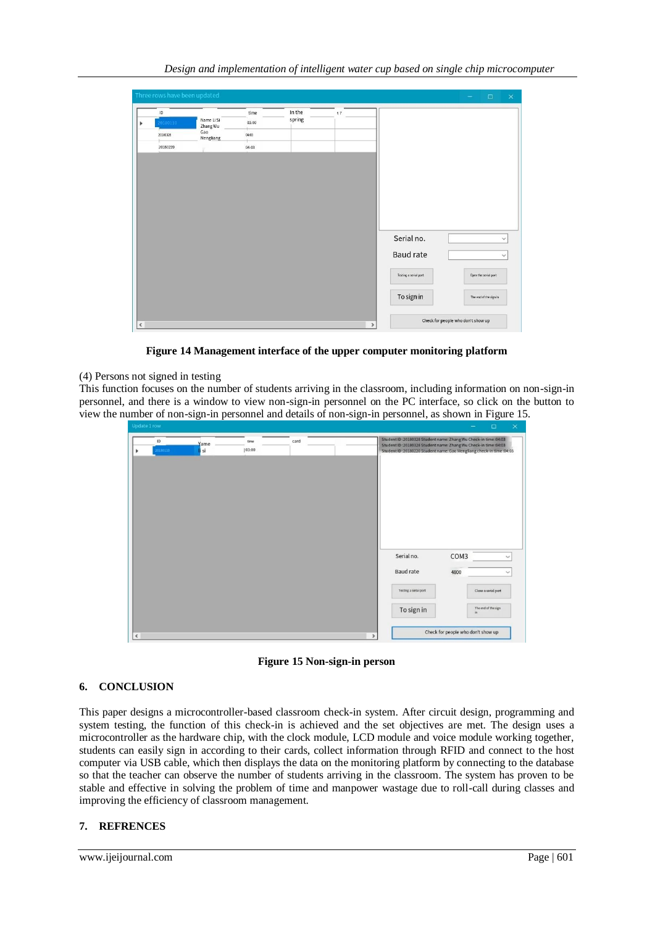| $\sf ID$ | Name Li Si       | time  | In the<br>spring | 37 |                       |                        |                              |
|----------|------------------|-------|------------------|----|-----------------------|------------------------|------------------------------|
| 20180110 | Zhang Wu         | 03:00 |                  |    |                       |                        |                              |
| 20180328 | Gao<br>Mengliang | 04:03 |                  |    |                       |                        |                              |
| 20180220 |                  | 04:03 |                  |    |                       |                        |                              |
|          |                  |       |                  |    |                       |                        |                              |
|          |                  |       |                  |    |                       |                        |                              |
|          |                  |       |                  |    |                       |                        |                              |
|          |                  |       |                  |    |                       |                        |                              |
|          |                  |       |                  |    |                       |                        |                              |
|          |                  |       |                  |    |                       |                        |                              |
|          |                  |       |                  |    |                       |                        |                              |
|          |                  |       |                  |    | Serial no.            |                        |                              |
|          |                  |       |                  |    | Baud rate             |                        |                              |
|          |                  |       |                  |    | Testing a serial port | Open the serial port   | $\checkmark$<br>$\checkmark$ |
|          |                  |       |                  |    | To sign in            | The end of the sign in |                              |

**Figure 14 Management interface of the upper computer monitoring platform**

## (4) Persons not signed in testing

This function focuses on the number of students arriving in the classroom, including information on non-sign-in personnel, and there is a window to view non-sign-in personnel on the PC interface, so click on the button to view the number of non-sign-in personnel and details of non-sign-in personnel, as shown in Figure 15.

| Student ID:20180328 Student name: Zhang Wu Check-in time:04:03<br>ID<br>card<br>time<br>Yame<br>Student ID:20180328 Student name: Zhang Wu Check-in time:04:03<br>20180110<br> 03:00<br>si<br>Student ID:20180220 Student name: Gao Mengliang check-in time:04:03<br>٠ |              |
|------------------------------------------------------------------------------------------------------------------------------------------------------------------------------------------------------------------------------------------------------------------------|--------------|
|                                                                                                                                                                                                                                                                        |              |
|                                                                                                                                                                                                                                                                        |              |
|                                                                                                                                                                                                                                                                        |              |
|                                                                                                                                                                                                                                                                        |              |
|                                                                                                                                                                                                                                                                        |              |
|                                                                                                                                                                                                                                                                        |              |
| Serial no.<br>COM3                                                                                                                                                                                                                                                     | $\checkmark$ |
| Baud rate<br>4800                                                                                                                                                                                                                                                      | $\checkmark$ |
| Testing a serial port<br>Close a serial port                                                                                                                                                                                                                           |              |
| The end of the sign<br>To sign in<br>in                                                                                                                                                                                                                                |              |
| Check for people who don't show up<br>$\hat{\textbf{C}}$<br>$\,$                                                                                                                                                                                                       |              |

**Figure 15 Non-sign-in person**

## **6. CONCLUSION**

This paper designs a microcontroller-based classroom check-in system. After circuit design, programming and system testing, the function of this check-in is achieved and the set objectives are met. The design uses a microcontroller as the hardware chip, with the clock module, LCD module and voice module working together, students can easily sign in according to their cards, collect information through RFID and connect to the host computer via USB cable, which then displays the data on the monitoring platform by connecting to the database so that the teacher can observe the number of students arriving in the classroom. The system has proven to be stable and effective in solving the problem of time and manpower wastage due to roll-call during classes and improving the efficiency of classroom management.

## **7. REFRENCES**